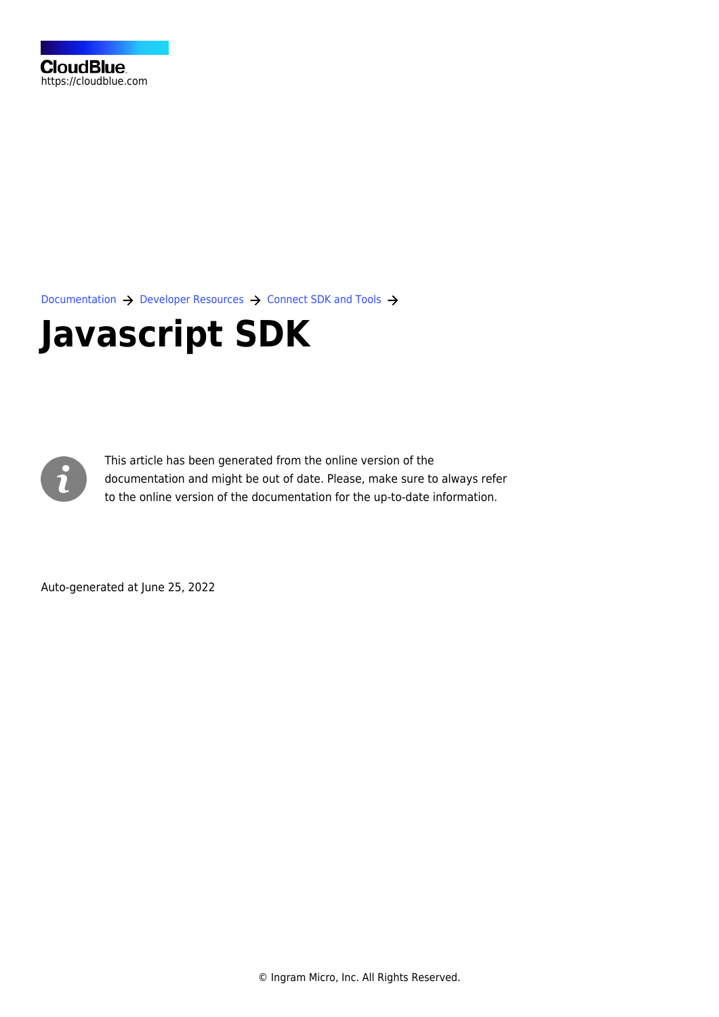[Documentation](https://connect.cloudblue.com/documentation)  $\rightarrow$  [Developer Resources](https://connect.cloudblue.com/community/developers/)  $\rightarrow$  [Connect SDK and Tools](https://connect.cloudblue.com/community/developers/sdk/)  $\rightarrow$ 

# **[Javascript SDK](https://connect.cloudblue.com/community/developers/sdk/javascript-sdk/)**



This article has been generated from the online version of the documentation and might be out of date. Please, make sure to always refer to the online version of the documentation for the up-to-date information.

Auto-generated at June 25, 2022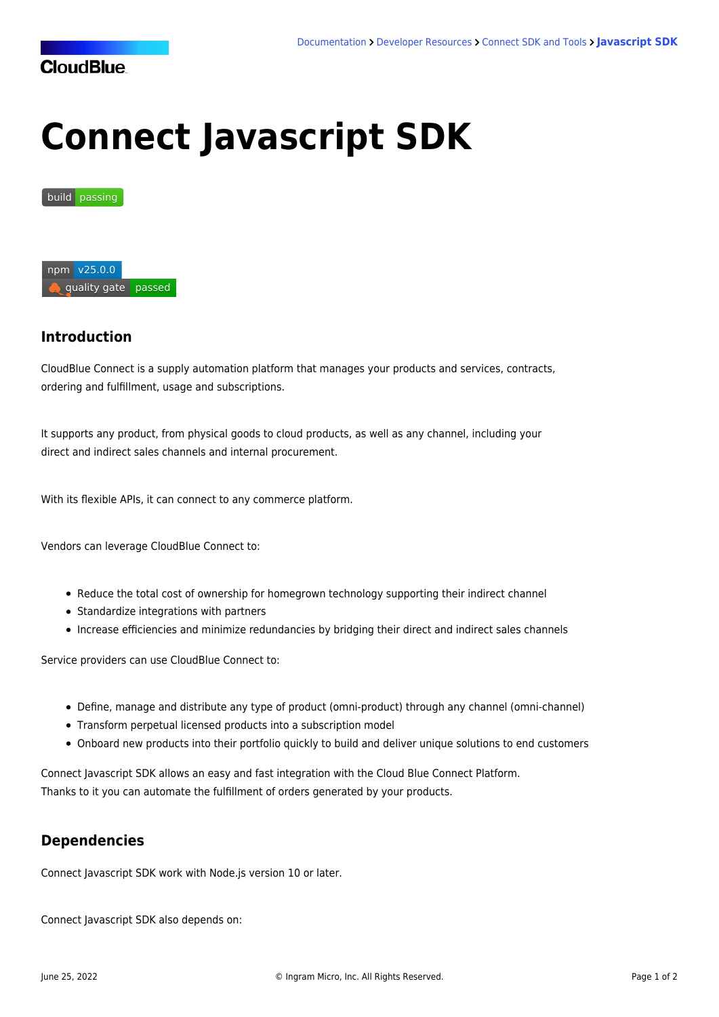## **CloudBlue**

# **Connect Javascript SDK**

#### build [passing](https://travis-ci.org/cloudblue/connect-javascript-sdk)



## **Introduction**

CloudBlue Connect is a supply automation platform that manages your products and services, contracts, ordering and fulfillment, usage and subscriptions.

It supports any product, from physical goods to cloud products, as well as any channel, including your direct and indirect sales channels and internal procurement.

With its flexible APIs, it can connect to any commerce platform.

Vendors can leverage CloudBlue Connect to:

- Reduce the total cost of ownership for homegrown technology supporting their indirect channel
- Standardize integrations with partners
- Increase efficiencies and minimize redundancies by bridging their direct and indirect sales channels

Service providers can use CloudBlue Connect to:

- Define, manage and distribute any type of product (omni-product) through any channel (omni-channel)
- Transform perpetual licensed products into a subscription model
- Onboard new products into their portfolio quickly to build and deliver unique solutions to end customers

Connect Javascript SDK allows an easy and fast integration with the Cloud Blue Connect Platform. Thanks to it you can automate the fulfillment of orders generated by your products.

## **Dependencies**

Connect Javascript SDK work with Node.js version 10 or later.

Connect Javascript SDK also depends on: